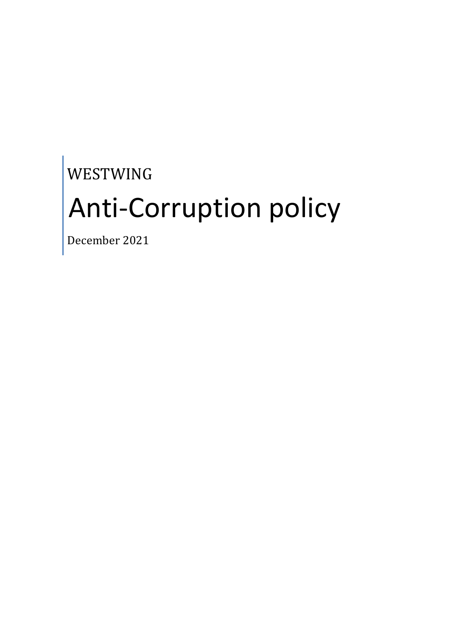# WESTWING Anti-Corruption policy

December 2021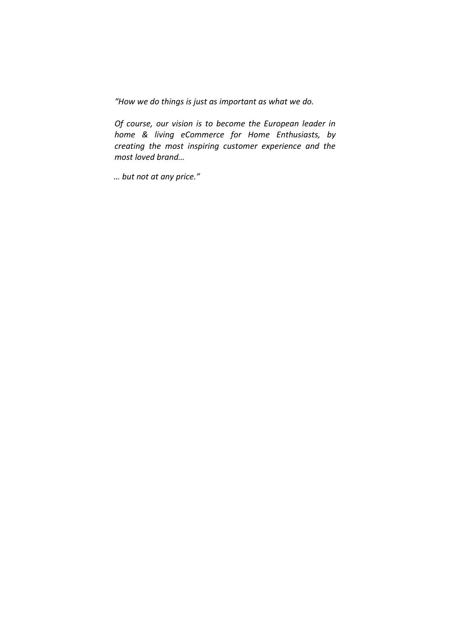*"How we do things is just as important as what we do.*

*Of course, our vision is to become the European leader in home & living eCommerce for Home Enthusiasts, by creating the most inspiring customer experience and the most loved brand…*

*… but not at any price."*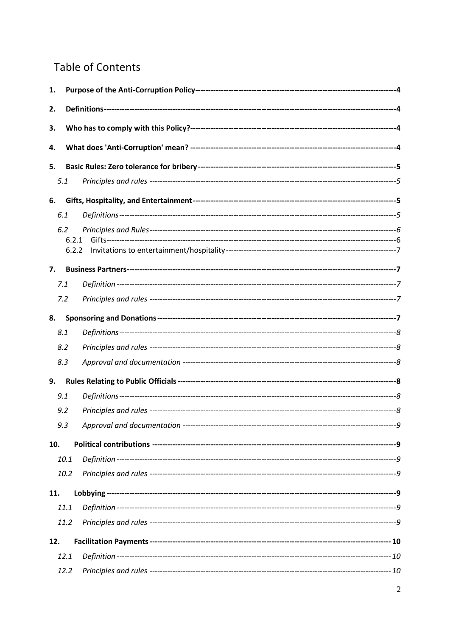# **Table of Contents**

| 2.<br>3.<br>4.<br>5.<br>5.1<br>6.<br>6.1<br>6.2<br>6.2.1<br>6.2.2<br>7.<br>7.1<br>7.2<br>8.<br>8.1<br>8.2<br>8.3<br>9.<br>9.1<br>9.2<br>9.3<br>10.<br>10.1 |
|------------------------------------------------------------------------------------------------------------------------------------------------------------|
|                                                                                                                                                            |
|                                                                                                                                                            |
|                                                                                                                                                            |
|                                                                                                                                                            |
|                                                                                                                                                            |
|                                                                                                                                                            |
|                                                                                                                                                            |
|                                                                                                                                                            |
|                                                                                                                                                            |
|                                                                                                                                                            |
|                                                                                                                                                            |
|                                                                                                                                                            |
|                                                                                                                                                            |
|                                                                                                                                                            |
|                                                                                                                                                            |
|                                                                                                                                                            |
|                                                                                                                                                            |
|                                                                                                                                                            |
|                                                                                                                                                            |
|                                                                                                                                                            |
|                                                                                                                                                            |
|                                                                                                                                                            |
|                                                                                                                                                            |
|                                                                                                                                                            |
| 10.2                                                                                                                                                       |
| 11.                                                                                                                                                        |
| 11.1                                                                                                                                                       |
| 11.2                                                                                                                                                       |
| 12.                                                                                                                                                        |
| 12.1                                                                                                                                                       |
| 12.2                                                                                                                                                       |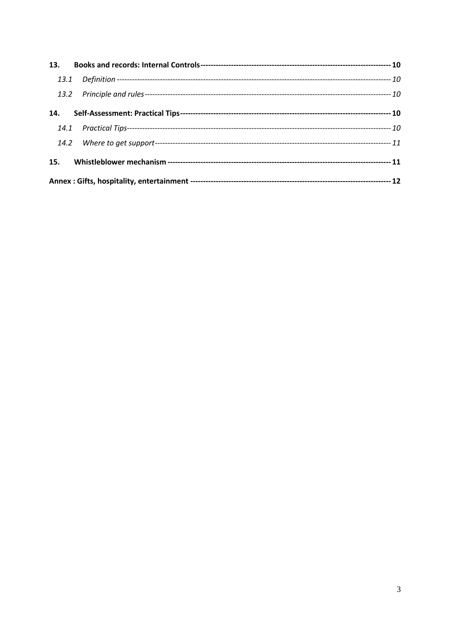| 14. |  |  |  |  |
|-----|--|--|--|--|
|     |  |  |  |  |
|     |  |  |  |  |
| 15. |  |  |  |  |
|     |  |  |  |  |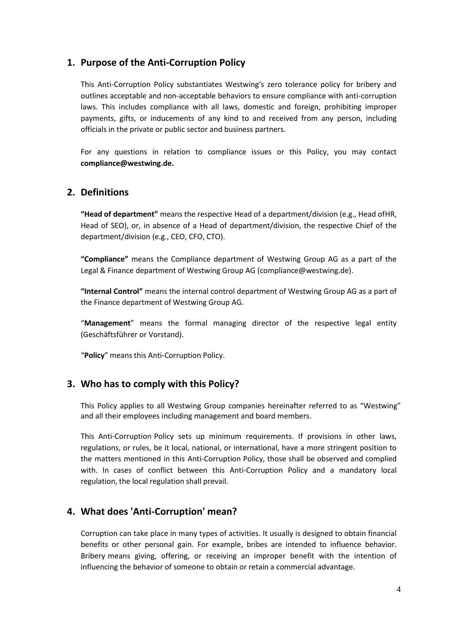# **1. Purpose of the Anti-Corruption Policy**

This Anti-Corruption Policy substantiates Westwing's zero tolerance policy for bribery and outlines acceptable and non-acceptable behaviors to ensure compliance with anti-corruption laws. This includes compliance with all laws, domestic and foreign, prohibiting improper payments, gifts, or inducements of any kind to and received from any person, including officials in the private or public sector and business partners.

For any questions in relation to compliance issues or this Policy, you may contact **[compliance@westwing.de.](mailto:compliance@westwing.de)**

# **2. Definitions**

**"Head of department"** means the respective Head of a department/division (e.g., Head ofHR, Head of SEO), or, in absence of a Head of department/division, the respective Chief of the department/division (e.g., CEO, CFO, CTO).

**"Compliance"** means the Compliance department of Westwing Group AG as a part of the Legal & Finance department of Westwing Group AG (compliance@westwing.de).

**"Internal Control"** means the internal control department of Westwing Group AG as a part of the Finance department of Westwing Group AG.

"**Management**" means the formal managing director of the respective legal entity (Geschäftsführer or Vorstand).

"**Policy**" means this Anti-Corruption Policy.

# **3. Who has to comply with this Policy?**

This Policy applies to all Westwing Group companies hereinafter referred to as "Westwing" and all their employees including management and board members.

This Anti-Corruption Policy sets up minimum requirements. If provisions in other laws, regulations, or rules, be it local, national, or international, have a more stringent position to the matters mentioned in this Anti-Corruption Policy, those shall be observed and complied with. In cases of conflict between this Anti-Corruption Policy and a mandatory local regulation, the local regulation shall prevail.

# **4. What does 'Anti-Corruption' mean?**

Corruption can take place in many types of activities. It usually is designed to obtain financial benefits or other personal gain. For example, bribes are intended to influence behavior. Bribery means giving, offering, or receiving an improper benefit with the intention of influencing the behavior of someone to obtain or retain a commercial advantage.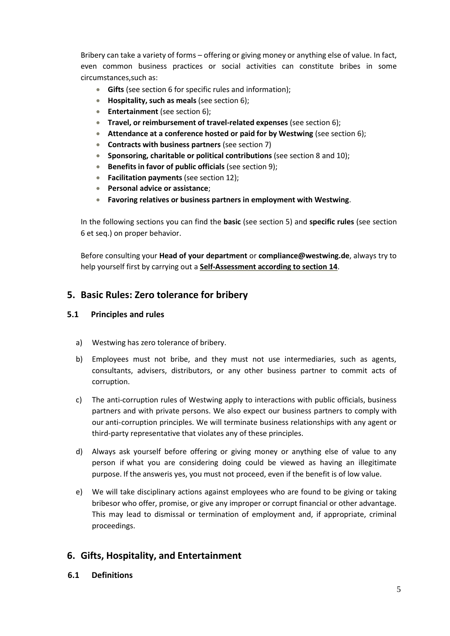Bribery can take a variety of forms – offering or giving money or anything else of value. In fact, even common business practices or social activities can constitute bribes in some circumstances,such as:

- **Gifts** (see section 6 for specific rules and information);
- **Hospitality, such as meals** (see section 6);
- **Entertainment** (see section 6);
- **Travel, or reimbursement of travel-related expenses** (see section 6);
- **Attendance at a conference hosted or paid for by Westwing** (see section 6);
- **Contracts with business partners** (see section 7)
- **Sponsoring, charitable or political contributions** (see section 8 and 10);
- **Benefits in favor of public officials** (see section 9);
- **Facilitation payments** (see section 12);
- **Personal advice or assistance**;
- **Favoring relatives or business partners in employment with Westwing**.

In the following sections you can find the **basic** (see section 5) and **specific rules** (see section 6 et seq.) on proper behavior.

Before consulting your **Head of your department** or **[compliance@westwing.de](mailto:compliance@westwing.de)**, always try to help yourself first by carrying out a **Self-Assessment according to section 14**.

# **5. Basic Rules: Zero tolerance for bribery**

#### **5.1 Principles and rules**

- a) Westwing has zero tolerance of bribery.
- b) Employees must not bribe, and they must not use intermediaries, such as agents, consultants, advisers, distributors, or any other business partner to commit acts of corruption.
- c) The anti-corruption rules of Westwing apply to interactions with public officials, business partners and with private persons. We also expect our business partners to comply with our anti-corruption principles. We will terminate business relationships with any agent or third-party representative that violates any of these principles.
- d) Always ask yourself before offering or giving money or anything else of value to any person if what you are considering doing could be viewed as having an illegitimate purpose. If the answeris yes, you must not proceed, even if the benefit is of low value.
- e) We will take disciplinary actions against employees who are found to be giving or taking bribesor who offer, promise, or give any improper or corrupt financial or other advantage. This may lead to dismissal or termination of employment and, if appropriate, criminal proceedings.

# **6. Gifts, Hospitality, and Entertainment**

**6.1 Definitions**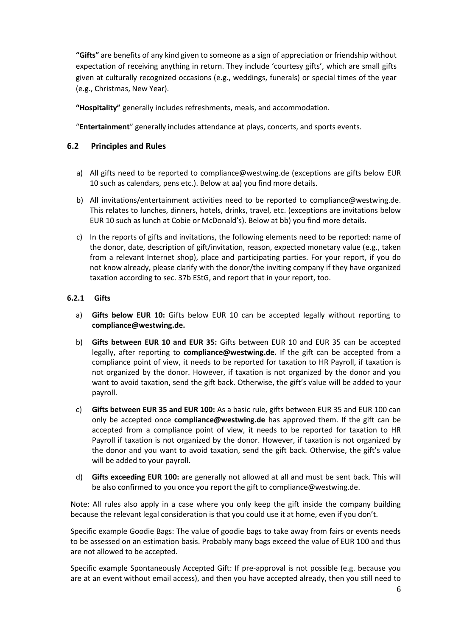**"Gifts"** are benefits of any kind given to someone as a sign of appreciation or friendship without expectation of receiving anything in return. They include 'courtesy gifts', which are small gifts given at culturally recognized occasions (e.g., weddings, funerals) or special times of the year (e.g., Christmas, New Year).

**"Hospitality"** generally includes refreshments, meals, and accommodation.

"**Entertainment**" generally includes attendance at plays, concerts, and sports events.

#### **6.2 Principles and Rules**

- a) All gifts need to be reported to [compliance@westwing.de](mailto:compliance@westwing.de) (exceptions are gifts below EUR 10 such as calendars, pens etc.). Below at aa) you find more details.
- b) All invitations/entertainment activities need to be reported to compliance@westwing.de. This relates to lunches, dinners, hotels, drinks, travel, etc. (exceptions are invitations below EUR 10 such as lunch at Cobie or McDonald's). Below at bb) you find more details.
- c) In the reports of gifts and invitations, the following elements need to be reported: name of the donor, date, description of gift/invitation, reason, expected monetary value (e.g., taken from a relevant Internet shop), place and participating parties. For your report, if you do not know already, please clarify with the donor/the inviting company if they have organized taxation according to sec. 37b EStG, and report that in your report, too.

#### **6.2.1 Gifts**

- a) **Gifts below EUR 10:** Gifts below EUR 10 can be accepted legally without reporting to **[compliance@westwing.de.](mailto:compliance@westwing.de)**
- b) **Gifts between EUR 10 and EUR 35:** Gifts between EUR 10 and EUR 35 can be accepted legally, after reporting to **[compliance@westwing.de.](mailto:compliance@westwing.de)** If the gift can be accepted from a compliance point of view, it needs to be reported for taxation to HR Payroll, if taxation is not organized by the donor. However, if taxation is not organized by the donor and you want to avoid taxation, send the gift back. Otherwise, the gift's value will be added to your payroll.
- c) **Gifts between EUR 35 and EUR 100:** As a basic rule, gifts between EUR 35 and EUR 100 can only be accepted once **[compliance@westwing.de](mailto:compliance@westwing.de)** has approved them. If the gift can be accepted from a compliance point of view, it needs to be reported for taxation to HR Payroll if taxation is not organized by the donor. However, if taxation is not organized by the donor and you want to avoid taxation, send the gift back. Otherwise, the gift's value will be added to your payroll.
- d) **Gifts exceeding EUR 100:** are generally not allowed at all and must be sent back. This will be also confirmed to you once you report the gift to [compliance@westwing.de.](mailto:compliance@westwing.de)

Note: All rules also apply in a case where you only keep the gift inside the company building because the relevant legal consideration is that you could use it at home, even if you don't.

Specific example Goodie Bags: The value of goodie bags to take away from fairs or events needs to be assessed on an estimation basis. Probably many bags exceed the value of EUR 100 and thus are not allowed to be accepted.

Specific example Spontaneously Accepted Gift: If pre-approval is not possible (e.g. because you are at an event without email access), and then you have accepted already, then you still need to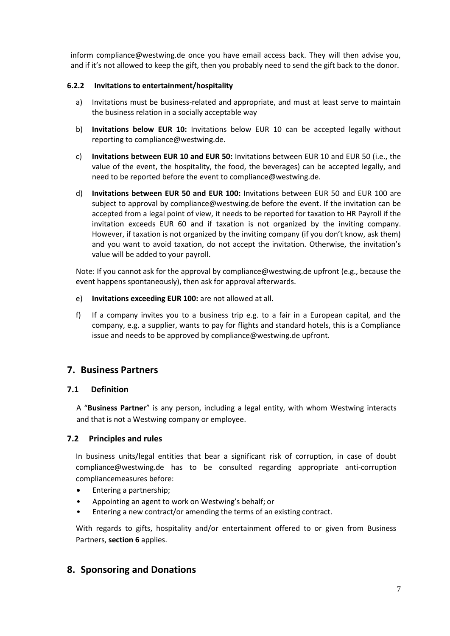inform [compliance@westwing.de o](mailto:compliance@westwing.de)nce you have email access back. They will then advise you, and if it's not allowed to keep the gift, then you probably need to send the gift back to the donor.

#### **6.2.2 Invitations to entertainment/hospitality**

- a) Invitations must be business-related and appropriate, and must at least serve to maintain the business relation in a socially acceptable way
- b) **Invitations below EUR 10:** Invitations below EUR 10 can be accepted legally without reporting to [compliance@westwing.de.](mailto:compliance@westwing.de)
- c) **Invitations between EUR 10 and EUR 50:** Invitations between EUR 10 and EUR 50 (i.e., the value of the event, the hospitality, the food, the beverages) can be accepted legally, and need to be reported before the event to [compliance@westwing.de.](mailto:compliance@westwing.de)
- d) **Invitations between EUR 50 and EUR 100:** Invitations between EUR 50 and EUR 100 are subject to approval by [compliance@westwing.de b](mailto:compliance@westwing.de)efore the event. If the invitation can be accepted from a legal point of view, it needs to be reported for taxation to HR Payroll if the invitation exceeds EUR 60 and if taxation is not organized by the inviting company. However, if taxation is not organized by the inviting company (if you don't know, ask them) and you want to avoid taxation, do not accept the invitation. Otherwise, the invitation's value will be added to your payroll.

Note: If you cannot ask for the approval b[y compliance@westwing.de u](mailto:compliance@westwing.de)pfront (e.g., because the event happens spontaneously), then ask for approval afterwards.

- e) **Invitations exceeding EUR 100:** are not allowed at all.
- f) If a company invites you to a business trip e.g. to a fair in a European capital, and the company, e.g. a supplier, wants to pay for flights and standard hotels, this is a Compliance issue and needs to be approved by [compliance@westwing.de u](mailto:compliance@westwing.de)pfront.

# **7. Business Partners**

#### **7.1 Definition**

A "**Business Partner**" is any person, including a legal entity, with whom Westwing interacts and that is not a Westwing company or employee.

#### **7.2 Principles and rules**

In business units/legal entities that bear a significant risk of corruption, in case of doubt [compliance@westwing.de](mailto:compliance@westwing.de) has to be consulted regarding appropriate anti-corruption compliancemeasures before:

- Entering a partnership;
- Appointing an agent to work on Westwing's behalf; or
- Entering a new contract/or amending the terms of an existing contract.

With regards to gifts, hospitality and/or entertainment offered to or given from Business Partners, **section 6** applies.

# **8. Sponsoring and Donations**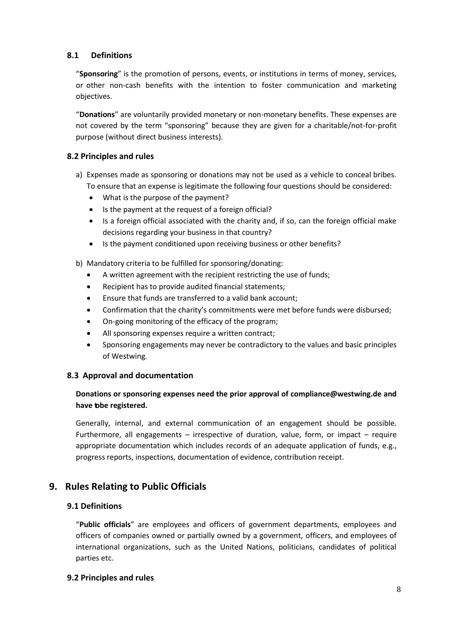#### **8.1 Definitions**

"**Sponsoring**" is the promotion of persons, events, or institutions in terms of money, services, or other non-cash benefits with the intention to foster communication and marketing objectives.

"**Donations**" are voluntarily provided monetary or non-monetary benefits. These expenses are not covered by the term "sponsoring" because they are given for a charitable/not-for-profit purpose (without direct business interests).

#### **8.2 Principles and rules**

- a) Expenses made as sponsoring or donations may not be used as a vehicle to conceal bribes. To ensure that an expense is legitimate the following four questions should be considered:
	- What is the purpose of the payment?
	- Is the payment at the request of a foreign official?
	- Is a foreign official associated with the charity and, if so, can the foreign official make decisions regarding your business in that country?
	- Is the payment conditioned upon receiving business or other benefits?

b) Mandatory criteria to be fulfilled for sponsoring/donating:

- A written agreement with the recipient restricting the use of funds;
- Recipient has to provide audited financial statements;
- Ensure that funds are transferred to a valid bank account;
- Confirmation that the charity's commitments were met before funds were disbursed;
- On-going monitoring of the efficacy of the program;
- All sponsoring expenses require a written contract;
- Sponsoring engagements may never be contradictory to the values and basic principles of Westwing.

#### **8.3 Approval and documentation**

#### **Donations or sponsoring expenses need the prior approval of [compliance@westwing.de a](mailto:compliance@westwing.de)nd have tobe registered.**

Generally, internal, and external communication of an engagement should be possible. Furthermore, all engagements – irrespective of duration, value, form, or impact – require appropriate documentation which includes records of an adequate application of funds, e.g., progress reports, inspections, documentation of evidence, contribution receipt.

# **9. Rules Relating to Public Officials**

#### **9.1 Definitions**

"**Public officials**" are employees and officers of government departments, employees and officers of companies owned or partially owned by a government, officers, and employees of international organizations, such as the United Nations, politicians, candidates of political parties etc.

#### **9.2 Principles and rules**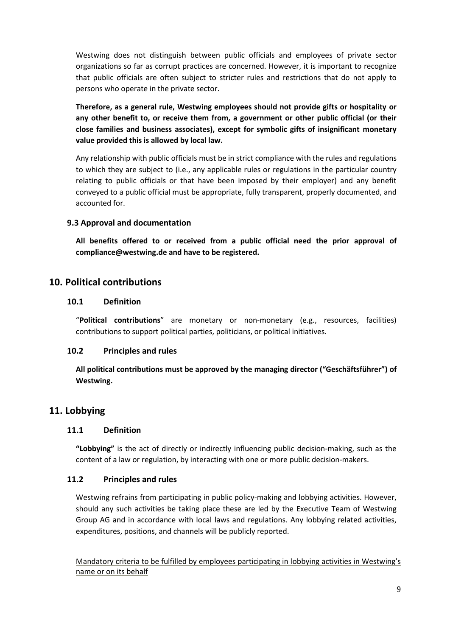Westwing does not distinguish between public officials and employees of private sector organizations so far as corrupt practices are concerned. However, it is important to recognize that public officials are often subject to stricter rules and restrictions that do not apply to persons who operate in the private sector.

**Therefore, as a general rule, Westwing employees should not provide gifts or hospitality or any other benefit to, or receive them from, a government or other public official (or their close families and business associates), except for symbolic gifts of insignificant monetary value provided this is allowed by local law.**

Any relationship with public officials must be in strict compliance with the rules and regulations to which they are subject to (i.e., any applicable rules or regulations in the particular country relating to public officials or that have been imposed by their employer) and any benefit conveyed to a public official must be appropriate, fully transparent, properly documented, and accounted for.

#### **9.3 Approval and documentation**

**All benefits offered to or received from a public official need the prior approval of [compliance@westwing.de](mailto:compliance@westwing.de) and have to be registered.**

# **10. Political contributions**

#### **10.1 Definition**

"**Political contributions**" are monetary or non-monetary (e.g., resources, facilities) contributions to support political parties, politicians, or political initiatives.

#### **10.2 Principles and rules**

**All political contributions must be approved by the managing director ("Geschäftsführer") of Westwing.**

#### **11. Lobbying**

#### **11.1 Definition**

**"Lobbying"** is the act of directly or indirectly influencing public decision-making, such as the content of a law or regulation, by interacting with one or more public decision-makers.

#### **11.2 Principles and rules**

Westwing refrains from participating in public policy-making and lobbying activities. However, should any such activities be taking place these are led by the Executive Team of Westwing Group AG and in accordance with local laws and regulations. Any lobbying related activities, expenditures, positions, and channels will be publicly reported.

Mandatory criteria to be fulfilled by employees participating in lobbying activities in Westwing's name or on its behalf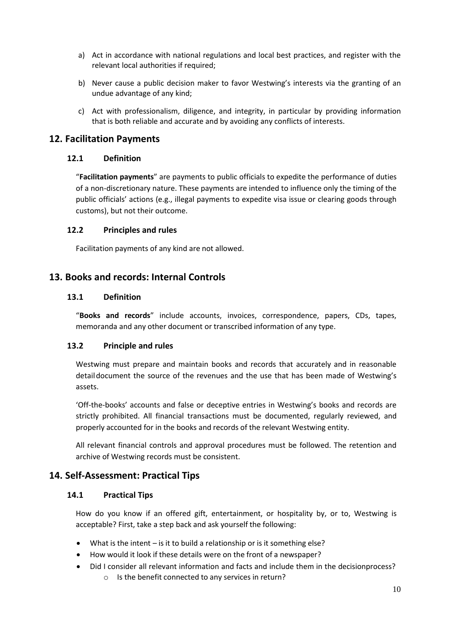- a) Act in accordance with national regulations and local best practices, and register with the relevant local authorities if required;
- b) Never cause a public decision maker to favor Westwing's interests via the granting of an undue advantage of any kind;
- c) Act with professionalism, diligence, and integrity, in particular by providing information that is both reliable and accurate and by avoiding any conflicts of interests.

# **12. Facilitation Payments**

#### **12.1 Definition**

"**Facilitation payments**" are payments to public officials to expedite the performance of duties of a non-discretionary nature. These payments are intended to influence only the timing of the public officials' actions (e.g., illegal payments to expedite visa issue or clearing goods through customs), but not their outcome.

#### **12.2 Principles and rules**

Facilitation payments of any kind are not allowed.

# **13. Books and records: Internal Controls**

#### **13.1 Definition**

"**Books and records**" include accounts, invoices, correspondence, papers, CDs, tapes, memoranda and any other document or transcribed information of any type.

#### **13.2 Principle and rules**

Westwing must prepare and maintain books and records that accurately and in reasonable detaildocument the source of the revenues and the use that has been made of Westwing's assets.

'Off-the-books' accounts and false or deceptive entries in Westwing's books and records are strictly prohibited. All financial transactions must be documented, regularly reviewed, and properly accounted for in the books and records of the relevant Westwing entity.

All relevant financial controls and approval procedures must be followed. The retention and archive of Westwing records must be consistent.

# **14. Self-Assessment: Practical Tips**

#### **14.1 Practical Tips**

How do you know if an offered gift, entertainment, or hospitality by, or to, Westwing is acceptable? First, take a step back and ask yourself the following:

- What is the intent  $-$  is it to build a relationship or is it something else?
- How would it look if these details were on the front of a newspaper?
- Did I consider all relevant information and facts and include them in the decisionprocess?
	- o Is the benefit connected to any services in return?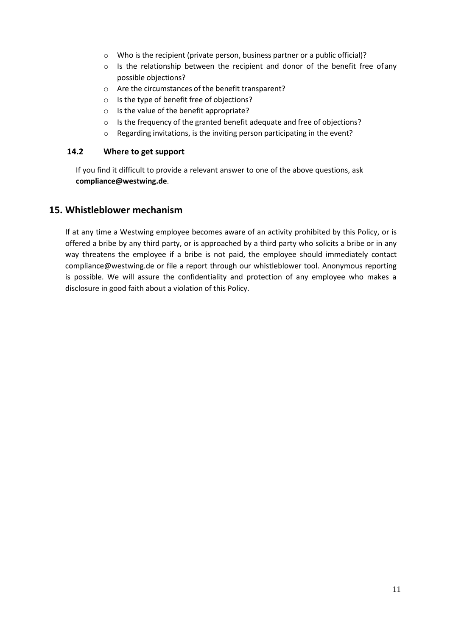- o Who is the recipient (private person, business partner or a public official)?
- $\circ$  Is the relationship between the recipient and donor of the benefit free ofany possible objections?
- o Are the circumstances of the benefit transparent?
- o Is the type of benefit free of objections?
- o Is the value of the benefit appropriate?
- o Is the frequency of the granted benefit adequate and free of objections?
- o Regarding invitations, is the inviting person participating in the event?

#### **14.2 Where to get support**

If you find it difficult to provide a relevant answer to one of the above questions, ask **[compliance@westwing.de](mailto:compliance@westwing.de)**.

#### **15. Whistleblower mechanism**

If at any time a Westwing employee becomes aware of an activity prohibited by this Policy, or is offered a bribe by any third party, or is approached by a third party who solicits a bribe or in any way threatens the employee if a bribe is not paid, the employee should immediately contact [compliance@westwing.de](mailto:compliance@westwing.de) or file a report through our whistleblower tool. Anonymous reporting is possible. We will assure the confidentiality and protection of any employee who makes a disclosure in good faith about a violation of this Policy.